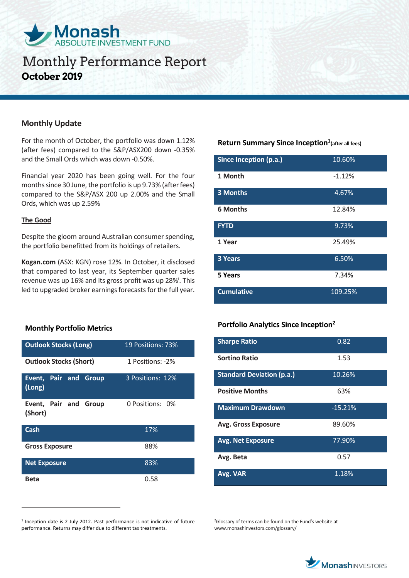

# **Monthly Performance Report October 2019**

### **Monthly Update**

For the month of October, the portfolio was down 1.12% (after fees) compared to the S&P/ASX200 down -0.35% and the Small Ords which was down -0.50%.

Financial year 2020 has been going well. For the four months since 30 June, the portfolio is up 9.73% (after fees) compared to the S&P/ASX 200 up 2.00% and the Small Ords, which was up 2.59%

#### **The Good**

 $\overline{a}$ 

Despite the gloom around Australian consumer spending, the portfolio benefitted from its holdings of retailers.

**Kogan.com** (ASX: KGN) rose 12%. In October, it disclosed that compared to last year, its September quarter sales revenue was up 16% and its gross profit was up 28%<sup>i</sup>. This led to upgraded broker earnings forecasts for the full year.

### **Monthly Portfolio Metrics**

| <b>Outlook Stocks (Long)</b>     | 19 Positions: 73% |  |
|----------------------------------|-------------------|--|
| <b>Outlook Stocks (Short)</b>    | 1 Positions: -2%  |  |
| Event, Pair and Group<br>(Long)  | 3 Positions: 12%  |  |
| Event, Pair and Group<br>(Short) | 0 Positions: 0%   |  |
| Cash                             | 17%               |  |
| <b>Gross Exposure</b>            | 88%               |  |
| <b>Net Exposure</b>              | 83%               |  |
| <b>Beta</b>                      | 0.58              |  |

**Return Summary Since Inception<sup>1</sup> (after all fees)**

| Since Inception (p.a.) | 10.60%   |
|------------------------|----------|
| 1 Month                | $-1.12%$ |
| <b>3 Months</b>        | 4.67%    |
| <b>6 Months</b>        | 12.84%   |
| <b>FYTD</b>            | 9.73%    |
| 1 Year                 | 25.49%   |
| 3 Years                | 6.50%    |
| 5 Years                | 7.34%    |
| <b>Cumulative</b>      | 109.25%  |

## **Portfolio Analytics Since Inception<sup>2</sup>**

| <b>Sharpe Ratio</b>              | 0.82      |
|----------------------------------|-----------|
| Sortino Ratio                    | 1.53      |
| <b>Standard Deviation (p.a.)</b> | 10.26%    |
| <b>Positive Months</b>           | 63%       |
| <b>Maximum Drawdown</b>          | $-15.21%$ |
| <b>Avg. Gross Exposure</b>       | 89.60%    |
| <b>Avg. Net Exposure</b>         | 77.90%    |
| Avg. Beta                        | 0.57      |
| Avg. VAR                         | 1.18%     |

<sup>2</sup>Glossary of terms can be found on the Fund's website at www.monashinvestors.com/glossary/



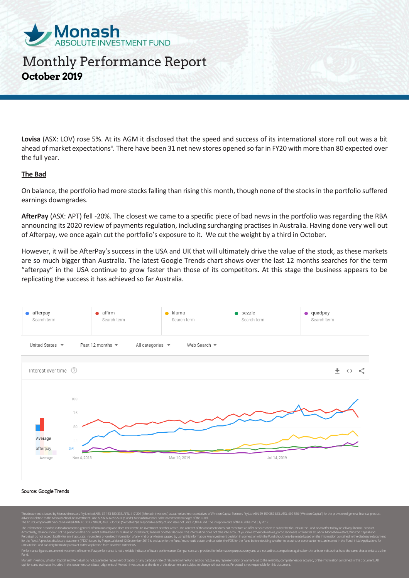

# Monthly Performance Report **October 2019**

**Lovisa** (ASX: LOV) rose 5%. At its AGM it disclosed that the speed and success of its international store roll out was a bit ahead of market expectations<sup>ii</sup>. There have been 31 net new stores opened so far in FY20 with more than 80 expected over the full year.

#### **The Bad**

On balance, the portfolio had more stocks falling than rising this month, though none of the stocks in the portfolio suffered earnings downgrades.

**AfterPay** (ASX: APT) fell -20%. The closest we came to a specific piece of bad news in the portfolio was regarding the RBA announcing its 2020 review of payments regulation, including surcharging practises in Australia. Having done very well out of Afterpay, we once again cut the portfolio's exposure to it. We cut the weight by a third in October.

However, it will be AfterPay's success in the USA and UK that will ultimately drive the value of the stock, as these markets are so much bigger than Australia. The latest Google Trends chart shows over the last 12 months searches for the term "afterpay" in the USA continue to grow faster than those of its competitors. At this stage the business appears to be replicating the success it has achieved so far Australia.



#### Source: Google Trends

Ltd ABN 29 159 382 813. AFSL 469 556 ("Winston Capital") for advice in relation to the Monash Absolute Investment Fund ARSN 606 855 501 ("Fund"). Monash Investors is the investment manager of the Fund. The Trust Company (RE Services) Limited ABN 45 003 278 831, AFSL 235 150 ("Perpetual") is responsible entity of, and issuer of units in, the Fund. The inception date of the Fund is 2nd July 2012. The information provided in this document is general information only and does not constitute investment or other advice. The content of this document does not constitute an offer or solicitation to subscribe for units in Accordingly, reliance should not be placed on this document as the basis for making an investment, financial or other decision. This information does not take into account your investment objectives, particular needs or fi Perpetual do not accept liability for any inaccurate, incomplete or omitted information of any kind or any losses caused by using this information. Any investment decision in connection with the Fund should only be made ba for the Fund. A product disclosure statement ("PDS") issued by Perpetual dated 12 September 2017 is available for the Fund. You should obtain and consider the PDS for the Fund before deciding whether to acquire, or continu units in the Fund can only be made pursuant to the application form attached to the PDS. Performance figures assume reinvestment of income. Past performance is not a reliable indicator of future performance. Comparisons are provided for information purposes only and are not a direct comparison against benchmar

Monash Investors, Winston Capital and Perpetual do not guarantee repayment of capital or any particular rate of return from the Fund and do not give any representation or warranty as to the reliability, completeness or acc

opinions and estimates included in this document constitute judgments of Monash Investors as at the date of this document are subject to change without notice. Perpetual is not responsible for this document.